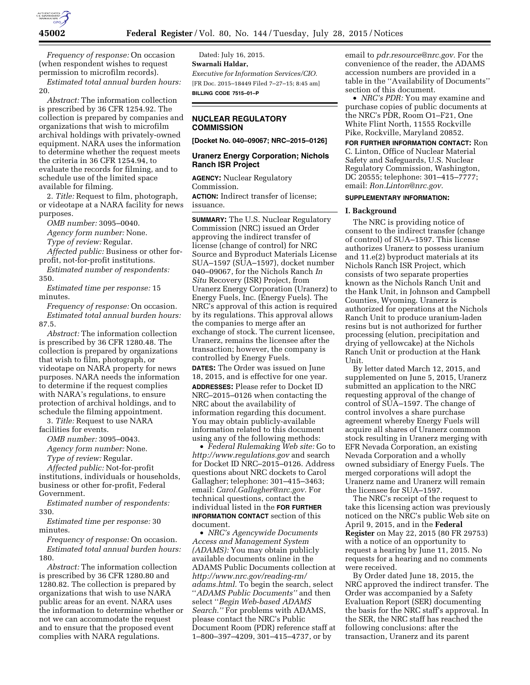

*Frequency of response:* On occasion (when respondent wishes to request permission to microfilm records).

*Estimated total annual burden hours:*  20.

*Abstract:* The information collection is prescribed by 36 CFR 1254.92. The collection is prepared by companies and organizations that wish to microfilm archival holdings with privately-owned equipment. NARA uses the information to determine whether the request meets the criteria in 36 CFR 1254.94, to evaluate the records for filming, and to schedule use of the limited space available for filming.

2. *Title:* Request to film, photograph, or videotape at a NARA facility for news purposes.

*OMB number:* 3095–0040.

*Agency form number:* None.

*Type of review:* Regular.

*Affected public:* Business or other forprofit, not-for-profit institutions.

*Estimated number of respondents:*  350.

*Estimated time per response:* 15 minutes.

*Frequency of response:* On occasion. *Estimated total annual burden hours:*  87.5.

*Abstract:* The information collection is prescribed by 36 CFR 1280.48. The collection is prepared by organizations that wish to film, photograph, or videotape on NARA property for news purposes. NARA needs the information to determine if the request complies with NARA's regulations, to ensure protection of archival holdings, and to schedule the filming appointment.

3. *Title:* Request to use NARA facilities for events.

*OMB number:* 3095–0043.

*Agency form number:* None.

*Type of review:* Regular.

*Affected public:* Not-for-profit institutions, individuals or households, business or other for-profit, Federal Government.

*Estimated number of respondents:*  330.

*Estimated time per response:* 30 minutes.

*Frequency of response:* On occasion. *Estimated total annual burden hours:*  180.

*Abstract:* The information collection is prescribed by 36 CFR 1280.80 and 1280.82. The collection is prepared by organizations that wish to use NARA public areas for an event. NARA uses the information to determine whether or not we can accommodate the request and to ensure that the proposed event complies with NARA regulations.

Dated: July 16, 2015. **Swarnali Haldar,**  *Executive for Information Services/CIO.*  [FR Doc. 2015–18449 Filed 7–27–15; 8:45 am] **BILLING CODE 7515–01–P** 

# **NUCLEAR REGULATORY COMMISSION**

**[Docket No. 040–09067; NRC–2015–0126]** 

# **Uranerz Energy Corporation; Nichols Ranch ISR Project**

**AGENCY:** Nuclear Regulatory Commission. **ACTION:** Indirect transfer of license; issuance.

**SUMMARY:** The U.S. Nuclear Regulatory Commission (NRC) issued an Order approving the indirect transfer of license (change of control) for NRC Source and Byproduct Materials License SUA–1597 (SUA–1597), docket number 040–09067, for the Nichols Ranch *In Situ* Recovery (ISR) Project, from Uranerz Energy Corporation (Uranerz) to Energy Fuels, Inc. (Energy Fuels). The NRC's approval of this action is required by its regulations. This approval allows the companies to merge after an exchange of stock. The current licensee, Uranerz, remains the licensee after the transaction; however, the company is controlled by Energy Fuels.

**DATES:** The Order was issued on June 18, 2015, and is effective for one year. **ADDRESSES:** Please refer to Docket ID NRC–2015–0126 when contacting the NRC about the availability of information regarding this document. You may obtain publicly-available information related to this document using any of the following methods:

• *Federal Rulemaking Web site:* Go to *<http://www.regulations.gov>* and search for Docket ID NRC–2015–0126. Address questions about NRC dockets to Carol Gallagher; telephone: 301–415–3463; email: *[Carol.Gallagher@nrc.gov.](mailto:Carol.Gallagher@nrc.gov)* For technical questions, contact the individual listed in the **FOR FURTHER INFORMATION CONTACT** section of this document.

• *NRC's Agencywide Documents Access and Management System (ADAMS):* You may obtain publicly available documents online in the ADAMS Public Documents collection at *[http://www.nrc.gov/reading-rm/](http://www.nrc.gov/reading-rm/adams.html) [adams.html.](http://www.nrc.gov/reading-rm/adams.html)* To begin the search, select ''*ADAMS Public Documents''* and then select ''*Begin Web-based ADAMS Search.''* For problems with ADAMS, please contact the NRC's Public Document Room (PDR) reference staff at 1–800–397–4209, 301–415–4737, or by

email to *[pdr.resource@nrc.gov.](mailto:pdr.resource@nrc.gov)* For the convenience of the reader, the ADAMS accession numbers are provided in a table in the ''Availability of Documents'' section of this document.

• *NRC's PDR:* You may examine and purchase copies of public documents at the NRC's PDR, Room O1–F21, One White Flint North, 11555 Rockville Pike, Rockville, Maryland 20852.

**FOR FURTHER INFORMATION CONTACT:** Ron C. Linton, Office of Nuclear Material Safety and Safeguards, U.S. Nuclear Regulatory Commission, Washington, DC 20555; telephone: 301–415–7777; email: *[Ron.Linton@nrc.gov.](mailto:Ron.Linton@nrc.gov)* 

## **SUPPLEMENTARY INFORMATION:**

#### **I. Background**

The NRC is providing notice of consent to the indirect transfer (change of control) of SUA–1597. This license authorizes Uranerz to possess uranium and 11.e(2) byproduct materials at its Nichols Ranch ISR Project, which consists of two separate properties known as the Nichols Ranch Unit and the Hank Unit, in Johnson and Campbell Counties, Wyoming. Uranerz is authorized for operations at the Nichols Ranch Unit to produce uranium-laden resins but is not authorized for further processing (elution, precipitation and drying of yellowcake) at the Nichols Ranch Unit or production at the Hank Unit.

By letter dated March 12, 2015, and supplemented on June 5, 2015, Uranerz submitted an application to the NRC requesting approval of the change of control of SUA–1597. The change of control involves a share purchase agreement whereby Energy Fuels will acquire all shares of Uranerz common stock resulting in Uranerz merging with EFR Nevada Corporation, an existing Nevada Corporation and a wholly owned subsidiary of Energy Fuels. The merged corporations will adopt the Uranerz name and Uranerz will remain the licensee for SUA–1597.

The NRC's receipt of the request to take this licensing action was previously noticed on the NRC's public Web site on April 9, 2015, and in the **Federal Register** on May 22, 2015 (80 FR 29753) with a notice of an opportunity to request a hearing by June 11, 2015. No requests for a hearing and no comments were received.

By Order dated June 18, 2015, the NRC approved the indirect transfer. The Order was accompanied by a Safety Evaluation Report (SER) documenting the basis for the NRC staff's approval. In the SER, the NRC staff has reached the following conclusions: after the transaction, Uranerz and its parent